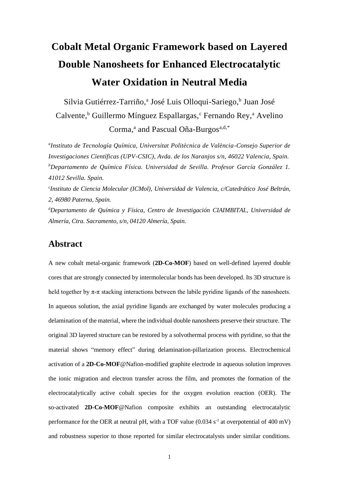# **Cobalt Metal Organic Framework based on Layered Double Nanosheets for Enhanced Electrocatalytic Water Oxidation in Neutral Media**

Silvia Gutiérrez-Tarriño,<sup>a</sup> José Luis Olloqui-Sariego,<sup>b</sup> Juan José Calvente,<sup>b</sup> Guillermo Mínguez Espallargas,<sup>c</sup> Fernando Rev,<sup>a</sup> Avelino Corma,<sup>a</sup> and Pascual Oña-Burgos<sup>a,d,\*</sup>

*a Instituto de Tecnología Química, Universitat Politècnica de València-Consejo Superior de Investigaciones Científicas (UPV-CSIC), Avda. de los Naranjos s/n, 46022 Valencia, Spain. <sup>b</sup>Departamento de Química Física. Universidad de Sevilla. Profesor García González 1. 41012 Sevilla. Spain.* c *Instituto de Ciencia Molecular (ICMol), Universidad de Valencia, c/Catedrático José Beltrán, 2, 46980 Paterna, Spain.* <sup>d</sup>*Departamento de Química y Física, Centro de Investigación CIAIMBITAL, Universidad de Almería, Ctra. Sacramento, s/n, 04120 Almería, Spain.*

#### **Abstract**

A new cobalt metal-organic framework (**2D-Co-MOF**) based on well-defined layered double cores that are strongly connected by intermolecular bonds has been developed. Its 3D structure is held together by  $\pi$ - $\pi$  stacking interactions between the labile pyridine ligands of the nanosheets. In aqueous solution, the axial pyridine ligands are exchanged by water molecules producing a delamination of the material, where the individual double nanosheets preserve their structure. The original 3D layered structure can be restored by a solvothermal process with pyridine, so that the material shows "memory effect" during delamination-pillarization process. Electrochemical activation of a **2D-Co-MOF**@Nafion-modified graphite electrode in aqueous solution improves the ionic migration and electron transfer across the film, and promotes the formation of the electrocatalytically active cobalt species for the oxygen evolution reaction (OER). The so-activated **2D-Co-MOF**@Nafion composite exhibits an outstanding electrocatalytic performance for the OER at neutral pH, with a TOF value  $(0.034 \text{ s}^{-1})$  at overpotential of 400 mV) and robustness superior to those reported for similar electrocatalysts under similar conditions.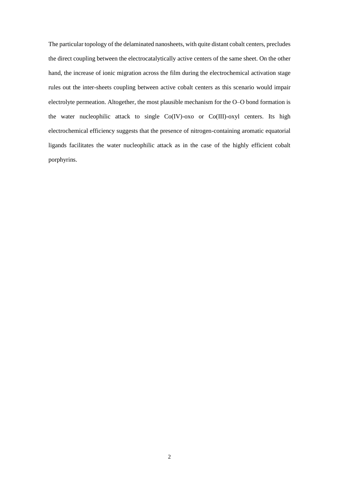The particular topology of the delaminated nanosheets, with quite distant cobalt centers, precludes the direct coupling between the electrocatalytically active centers of the same sheet. On the other hand, the increase of ionic migration across the film during the electrochemical activation stage rules out the inter-sheets coupling between active cobalt centers as this scenario would impair electrolyte permeation. Altogether, the most plausible mechanism for the O–O bond formation is the water nucleophilic attack to single Co(IV)-oxo or Co(III)-oxyl centers. Its high electrochemical efficiency suggests that the presence of nitrogen-containing aromatic equatorial ligands facilitates the water nucleophilic attack as in the case of the highly efficient cobalt porphyrins.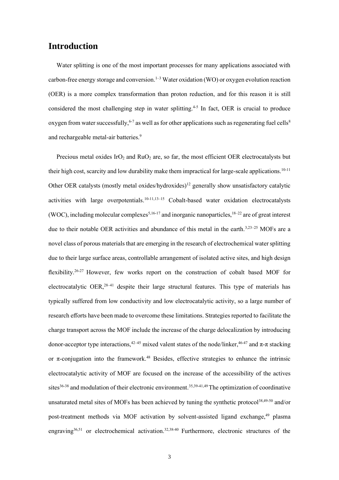#### **Introduction**

Water splitting is one of the most important processes for many applications associated with carbon-free energy storage and conversion.<sup>1–3</sup> Water oxidation (WO) or oxygen evolution reaction (OER) is a more complex transformation than proton reduction, and for this reason it is still considered the most challenging step in water splitting.<sup>4-5</sup> In fact, OER is crucial to produce oxygen from water successfully,  $6-7$  as well as for other applications such as regenerating fuel cells  $8$ and rechargeable metal-air batteries.<sup>9</sup>

Precious metal oxides IrO<sub>2</sub> and RuO<sub>2</sub> are, so far, the most efficient OER electrocatalysts but their high cost, scarcity and low durability make them impractical for large-scale applications.<sup>10-11</sup> Other OER catalysts (mostly metal oxides/hydroxides)<sup>12</sup> generally show unsatisfactory catalytic activities with large overpotentials.<sup>10-11,13-15</sup> Cobalt-based water oxidation electrocatalysts (WOC), including molecular complexes<sup>5,16-17</sup> and inorganic nanoparticles,  $18-22$  are of great interest due to their notable OER activities and abundance of this metal in the earth.<sup>3,23–25</sup> MOFs are a novel class of porous materials that are emerging in the research of electrochemical water splitting due to their large surface areas, controllable arrangement of isolated active sites, and high design flexibility.<sup>26-27</sup> However, few works report on the construction of cobalt based MOF for electrocatalytic OER,<sup>28–41</sup> despite their large structural features. This type of materials has typically suffered from low conductivity and low electrocatalytic activity, so a large number of research efforts have been made to overcome these limitations. Strategies reported to facilitate the charge transport across the MOF include the increase of the charge delocalization by introducing donor-acceptor type interactions,<sup>42–45</sup> mixed valent states of the node/linker,<sup>46–47</sup> and π-π stacking or  $\pi$ -conjugation into the framework.<sup>48</sup> Besides, effective strategies to enhance the intrinsic electrocatalytic activity of MOF are focused on the increase of the accessibility of the actives sites<sup>36-38</sup> and modulation of their electronic environment.<sup>35,39-41,49</sup> The optimization of coordinative unsaturated metal sites of MOFs has been achieved by tuning the synthetic protocol<sup>38,49-50</sup> and/or post-treatment methods via MOF activation by solvent-assisted ligand exchange,<sup>49</sup> plasma engraving<sup>36,51</sup> or electrochemical activation.<sup>32,38-40</sup> Furthermore, electronic structures of the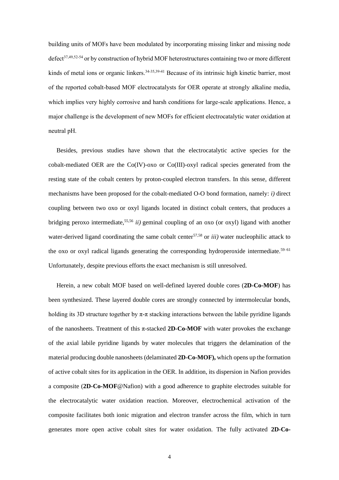building units of MOFs have been modulated by incorporating missing linker and missing node defect<sup>37,49,52-54</sup> or by construction of hybrid MOF heterostructures containing two or more different kinds of metal ions or organic linkers.<sup>34-35,39-41</sup> Because of its intrinsic high kinetic barrier, most of the reported cobalt-based MOF electrocatalysts for OER operate at strongly alkaline media, which implies very highly corrosive and harsh conditions for large-scale applications. Hence, a major challenge is the development of new MOFs for efficient electrocatalytic water oxidation at neutral pH.

Besides, previous studies have shown that the electrocatalytic active species for the cobalt-mediated OER are the Co(IV)-oxo or Co(III)-oxyl radical species generated from the resting state of the cobalt centers by proton-coupled electron transfers. In this sense, different mechanisms have been proposed for the cobalt-mediated O-O bond formation, namely: *i)* direct coupling between two oxo or oxyl ligands located in distinct cobalt centers, that produces a bridging peroxo intermediate,55,56 *ii)* geminal coupling of an oxo (or oxyl) ligand with another water-derived ligand coordinating the same cobalt center<sup>57,58</sup> or  $iii$ ) water nucleophilic attack to the oxo or oxyl radical ligands generating the corresponding hydroperoxide intermediate.<sup>59–61</sup> Unfortunately, despite previous efforts the exact mechanism is still unresolved.

Herein, a new cobalt MOF based on well-defined layered double cores (**2D-Co-MOF**) has been synthesized. These layered double cores are strongly connected by intermolecular bonds, holding its 3D structure together by  $\pi$ - $\pi$  stacking interactions between the labile pyridine ligands of the nanosheets. Treatment of this π-stacked **2D-Co-MOF** with water provokes the exchange of the axial labile pyridine ligands by water molecules that triggers the delamination of the material producing double nanosheets (delaminated **2D-Co-MOF),** which opens up the formation of active cobalt sites for its application in the OER. In addition, its dispersion in Nafion provides a composite (**2D-Co-MOF**@Nafion) with a good adherence to graphite electrodes suitable for the electrocatalytic water oxidation reaction. Moreover, electrochemical activation of the composite facilitates both ionic migration and electron transfer across the film, which in turn generates more open active cobalt sites for water oxidation. The fully activated **2D-Co-**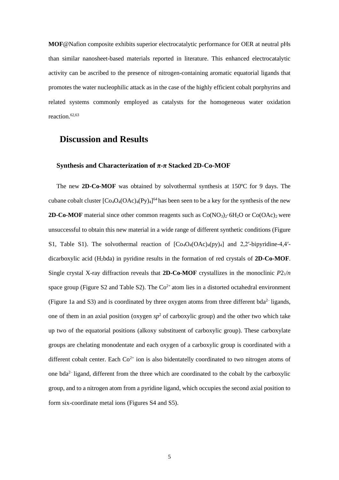**MOF**@Nafion composite exhibits superior electrocatalytic performance for OER at neutral pHs than similar nanosheet-based materials reported in literature. This enhanced electrocatalytic activity can be ascribed to the presence of nitrogen-containing aromatic equatorial ligands that promotes the water nucleophilic attack as in the case of the highly efficient cobalt porphyrins and related systems commonly employed as catalysts for the homogeneous water oxidation reaction. 62,63

#### **Discussion and Results**

#### **Synthesis and Characterization of π-π Stacked 2D-Co-MOF**

The new **2D-Co-MOF** was obtained by solvothermal synthesis at 150ºC for 9 days. The cubane cobalt cluster  $[Co_4O_4(OAc)_4(Py)_4]^{64}$  has been seen to be a key for the synthesis of the new **2D-Co-MOF** material since other common reagents such as  $Co(NO<sub>3</sub>)<sub>2</sub>·6H<sub>2</sub>O$  or  $Co(OAc)<sub>2</sub>$  were unsuccessful to obtain this new material in a wide range of different synthetic conditions (Figure S1, Table S1). The solvothermal reaction of  $[Co_4O_4(OAc)_4(py)_4]$  and 2,2′-bipyridine-4,4′dicarboxylic acid (H2bda) in pyridine results in the formation of red crystals of **2D-Co-MOF**. Single crystal X-ray diffraction reveals that **2D-Co-MOF** crystallizes in the monoclinic *P*21/*n*  space group (Figure S2 and Table S2). The  $Co^{2+}$  atom lies in a distorted octahedral environment (Figure 1a and S3) and is coordinated by three oxygen atoms from three different bda<sup>2-</sup>ligands, one of them in an axial position (oxygen  $sp^2$  of carboxylic group) and the other two which take up two of the equatorial positions (alkoxy substituent of carboxylic group). These carboxylate groups are chelating monodentate and each oxygen of a carboxylic group is coordinated with a different cobalt center. Each  $Co^{2+}$  ion is also bidentatelly coordinated to two nitrogen atoms of one bda<sup>2-</sup> ligand, different from the three which are coordinated to the cobalt by the carboxylic group, and to a nitrogen atom from a pyridine ligand, which occupies the second axial position to form six-coordinate metal ions (Figures S4 and S5).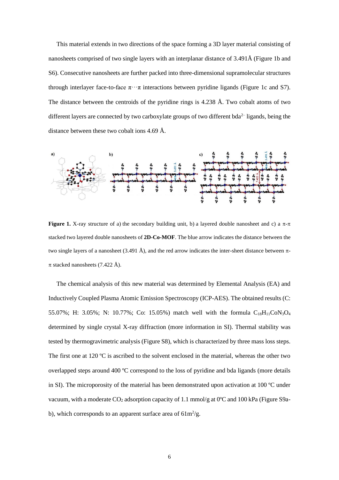This material extends in two directions of the space forming a 3D layer material consisting of nanosheets comprised of two single layers with an interplanar distance of 3.491Å (Figure 1b and S6). Consecutive nanosheets are further packed into three-dimensional supramolecular structures through interlayer face-to-face  $\pi \cdot \cdot \pi$  interactions between pyridine ligands (Figure 1c and S7). The distance between the centroids of the pyridine rings is 4.238 Å. Two cobalt atoms of two different layers are connected by two carboxylate groups of two different bda<sup>2-</sup> ligands, being the distance between these two cobalt ions 4.69 Å.



**Figure 1.** X-ray structure of a) the secondary building unit, b) a layered double nanosheet and c) a  $\pi$ - $\pi$ stacked two layered double nanosheets of **2D-Co-MOF**. The blue arrow indicates the distance between the two single layers of a nanosheet (3.491 Å), and the red arrow indicates the inter-sheet distance between  $\pi$ - $\pi$  stacked nanosheets (7.422 Å).

The chemical analysis of this new material was determined by Elemental Analysis (EA) and Inductively Coupled Plasma Atomic Emission Spectroscopy (ICP-AES). The obtained results (C: 55.07%; H: 3.05%; N: 10.77%; Co: 15.05%) match well with the formula  $C_{18}H_{11}CoN_3O_4$ determined by single crystal X-ray diffraction (more information in SI). Thermal stability was tested by thermogravimetric analysis (Figure S8), which is characterized by three mass loss steps. The first one at 120 ºC is ascribed to the solvent enclosed in the material, whereas the other two overlapped steps around 400 ºC correspond to the loss of pyridine and bda ligands (more details in SI). The microporosity of the material has been demonstrated upon activation at 100 ºC under vacuum, with a moderate  $CO_2$  adsorption capacity of 1.1 mmol/g at 0°C and 100 kPa (Figure S9ab), which corresponds to an apparent surface area of  $61m^2/g$ .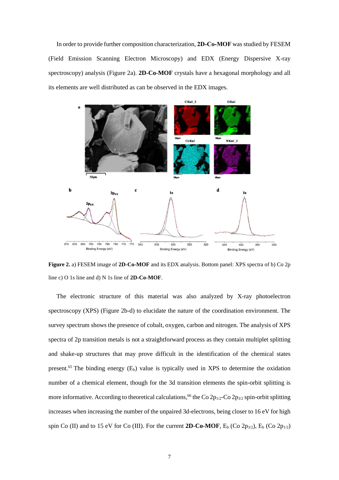In order to provide further composition characterization, **2D-Co-MOF** was studied by FESEM (Field Emission Scanning Electron Microscopy) and EDX (Energy Dispersive X-ray spectroscopy) analysis (Figure 2a). **2D-Co-MOF** crystals have a hexagonal morphology and all its elements are well distributed as can be observed in the EDX images.



**Figure 2.** a) FESEM image of **2D-Co-MOF** and its EDX analysis. Bottom panel: XPS spectra of b) Co 2p line c) O 1s line and d) N 1s line of **2D-Co-MOF**.

The electronic structure of this material was also analyzed by X-ray photoelectron spectroscopy (XPS) (Figure 2b-d) to elucidate the nature of the coordination environment. The survey spectrum shows the presence of cobalt, oxygen, carbon and nitrogen. The analysis of XPS spectra of 2p transition metals is not a straightforward process as they contain multiplet splitting and shake-up structures that may prove difficult in the identification of the chemical states present.<sup>65</sup> The binding energy  $(E_b)$  value is typically used in XPS to determine the oxidation number of a chemical element, though for the 3d transition elements the spin-orbit splitting is more informative. According to theoretical calculations,<sup>66</sup> the Co  $2p_{1/2}$ -Co  $2p_{3/2}$  spin-orbit splitting increases when increasing the number of the unpaired 3d-electrons, being closer to 16 eV for high spin Co (II) and to 15 eV for Co (III). For the current **2D-Co-MOF**,  $E_b$  (Co  $2p_{3/2}$ ),  $E_b$  (Co  $2p_{1/2}$ )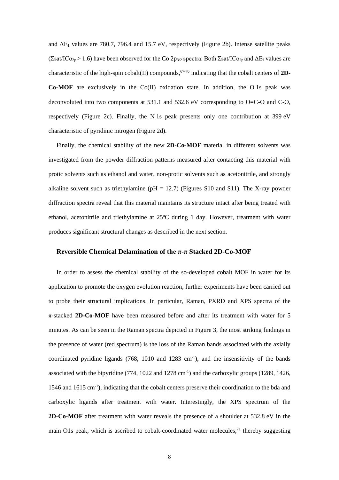and  $\Delta E_1$  values are 780.7, 796.4 and 15.7 eV, respectively (Figure 2b). Intense satellite peaks (Σsat/ICo<sub>2p</sub> > 1.6) have been observed for the Co 2p<sub>3/2</sub> spectra. Both Σsat/ICo<sub>2p</sub> and  $\Delta E_1$  values are characteristic of the high-spin cobalt(II) compounds, 67-70 indicating that the cobalt centers of **2D-Co-MOF** are exclusively in the  $Co(II)$  oxidation state. In addition, the O 1s peak was deconvoluted into two components at 531.1 and 532.6 eV corresponding to O=C-O and C-O, respectively (Figure 2c). Finally, the N 1s peak presents only one contribution at 399 eV characteristic of pyridinic nitrogen (Figure 2d).

Finally, the chemical stability of the new **2D-Co-MOF** material in different solvents was investigated from the powder diffraction patterns measured after contacting this material with protic solvents such as ethanol and water, non-protic solvents such as acetonitrile, and strongly alkaline solvent such as triethylamine ( $pH = 12.7$ ) (Figures S10 and S11). The X-ray powder diffraction spectra reveal that this material maintains its structure intact after being treated with ethanol, acetonitrile and triethylamine at 25ºC during 1 day. However, treatment with water produces significant structural changes as described in the next section.

#### **Reversible Chemical Delamination of the π-π Stacked 2D-Co-MOF**

In order to assess the chemical stability of the so-developed cobalt MOF in water for its application to promote the oxygen evolution reaction, further experiments have been carried out to probe their structural implications. In particular, Raman, PXRD and XPS spectra of the π-stacked **2D-Co-MOF** have been measured before and after its treatment with water for 5 minutes. As can be seen in the Raman spectra depicted in Figure 3, the most striking findings in the presence of water (red spectrum) is the loss of the Raman bands associated with the axially coordinated pyridine ligands (768, 1010 and 1283 cm<sup>-1</sup>), and the insensitivity of the bands associated with the bipyridine  $(774, 1022 \text{ and } 1278 \text{ cm}^{-1})$  and the carboxylic groups  $(1289, 1426,$ 1546 and 1615 cm-1 ), indicating that the cobalt centers preserve their coordination to the bda and carboxylic ligands after treatment with water. Interestingly, the XPS spectrum of the **2D-Co-MOF** after treatment with water reveals the presence of a shoulder at 532.8 eV in the main O1s peak, which is ascribed to cobalt-coordinated water molecules,<sup>71</sup> thereby suggesting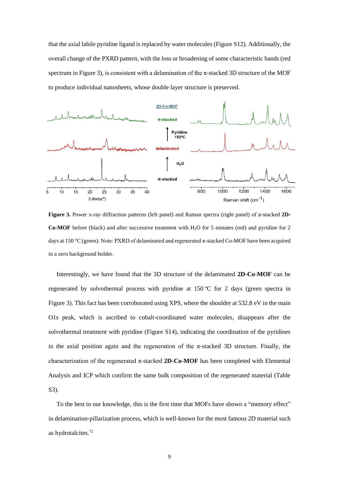that the axial labile pyridine ligand is replaced by water molecules (Figure S12). Additionally, the overall change of the PXRD pattern, with the loss or broadening of some characteristic bands (red spectrum in Figure 3), is consistent with a delamination of the  $\pi$ -stacked 3D structure of the MOF to produce individual nanosheets, whose double layer structure is preserved.



**Figure 3.** Power x-ray diffraction patterns (left panel) and Raman spectra (right panel) of π-stacked **2D-Co-MOF** before (black) and after successive treatment with H<sub>2</sub>O for 5 minutes (red) and pyridine for 2 days at 150 ºC (green). Note: PXRD of delaminated and regenerated π-stacked Co-MOF have been acquired in a zero background holder.

Interestingly, we have found that the 3D structure of the delaminated **2D-Co-MOF** can be regenerated by solvothermal process with pyridine at 150 °C for 2 days (green spectra in Figure 3). This fact has been corroborated using XPS, where the shoulder at 532.8 eV in the main O1s peak, which is ascribed to cobalt-coordinated water molecules, disappears after the solvothermal treatment with pyridine (Figure S14), indicating the coordination of the pyridines in the axial position again and the regeneration of the  $\pi$ -stacked 3D structure. Finally, the characterization of the regenerated  $\pi$ -stacked **2D-Co-MOF** has been completed with Elemental Analysis and ICP which confirm the same bulk composition of the regenerated material (Table S3).

To the best to our knowledge, this is the first time that MOFs have shown a "memory effect" in delamination-pillarization process, which is well-known for the most famous 2D material such as hydrotalcites.72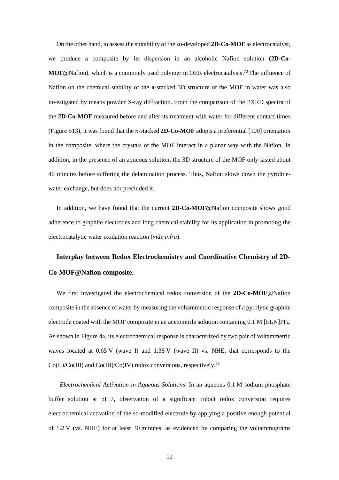On the other hand, to assess the suitability of the so-developed **2D-Co-MOF** as electrocatalyst, we produce a composite by its dispersion in an alcoholic Nafion solution (**2D-Co-MOF**@Nafion), which is a commonly used polymer in OER electrocatalysis. <sup>73</sup> The influence of Nafion on the chemical stability of the  $\pi$ -stacked 3D structure of the MOF in water was also investigated by means powder X-ray diffraction. From the comparison of the PXRD spectra of the **2D-Co-MOF** measured before and after its treatment with water for different contact times (Figure S13), it was found that the π-stacked **2D-Co-MOF** adopts a preferential [100] orientation in the composite, where the crystals of the MOF interact in a planar way with the Nafion. In addition, in the presence of an aqueous solution, the 3D structure of the MOF only lasted about 40 minutes before suffering the delamination process. Thus, Nafion slows down the pyridinewater exchange, but does nor precluded it.

In addition, we have found that the current **2D-Co-MOF**@Nafion composite shows good adherence to graphite electrodes and long chemical stability for its application in promoting the electrocatalytic water oxidation reaction (*vide infra*).

# **Interplay between Redox Electrochemistry and Coordinative Chemistry of 2D-Co-MOF@Nafion composite.**

We first investigated the electrochemical redox conversion of the **2D-Co-MOF**@Nafion composite in the absence of water by measuring the voltammetric response of a pyrolytic graphite electrode coated with the MOF composite in an acetonitrile solution containing  $0.1$  M [Et<sub>4</sub>N]PF<sub>6</sub>. As shown in Figure 4a, its electrochemical response is characterized by two pair of voltammetric waves located at 0.65 V (wave I) and 1.38 V (wave II) vs. NHE, that corresponds to the  $Co(II)/Co(III)$  and  $Co(III)/Co(IV)$  redox conversions, respectively.<sup>38</sup>

*Electrochemical Activation in Aqueous Solutions*. In an aqueous 0.1 M sodium phosphate buffer solution at pH 7, observation of a significant cobalt redox conversion requires electrochemical activation of the so-modified electrode by applying a positive enough potential of 1.2 V (vs. NHE) for at least 30 minutes, as evidenced by comparing the voltammograms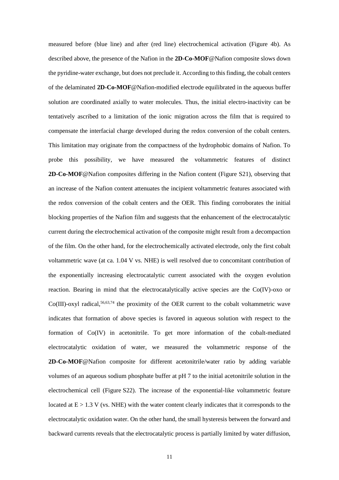measured before (blue line) and after (red line) electrochemical activation (Figure 4b). As described above, the presence of the Nafion in the **2D-Co-MOF**@Nafion composite slows down the pyridine-water exchange, but does not preclude it. According to this finding, the cobalt centers of the delaminated **2D-Co-MOF**@Nafion-modified electrode equilibrated in the aqueous buffer solution are coordinated axially to water molecules. Thus, the initial electro-inactivity can be tentatively ascribed to a limitation of the ionic migration across the film that is required to compensate the interfacial charge developed during the redox conversion of the cobalt centers. This limitation may originate from the compactness of the hydrophobic domains of Nafion. To probe this possibility, we have measured the voltammetric features of distinct **2D-Co-MOF**@Nafion composites differing in the Nafion content (Figure S21), observing that an increase of the Nafion content attenuates the incipient voltammetric features associated with the redox conversion of the cobalt centers and the OER. This finding corroborates the initial blocking properties of the Nafion film and suggests that the enhancement of the electrocatalytic current during the electrochemical activation of the composite might result from a decompaction of the film. On the other hand, for the electrochemically activated electrode, only the first cobalt voltammetric wave (at ca. 1.04 V vs. NHE) is well resolved due to concomitant contribution of the exponentially increasing electrocatalytic current associated with the oxygen evolution reaction. Bearing in mind that the electrocatalytically active species are the Co(IV)-oxo or  $Co(III)$ -oxyl radical,<sup>56,63,74</sup> the proximity of the OER current to the cobalt voltammetric wave indicates that formation of above species is favored in aqueous solution with respect to the formation of Co(IV) in acetonitrile. To get more information of the cobalt-mediated electrocatalytic oxidation of water, we measured the voltammetric response of the **2D-Co-MOF**@Nafion composite for different acetonitrile/water ratio by adding variable volumes of an aqueous sodium phosphate buffer at pH 7 to the initial acetonitrile solution in the electrochemical cell (Figure S22). The increase of the exponential-like voltammetric feature located at  $E > 1.3$  V (vs. NHE) with the water content clearly indicates that it corresponds to the electrocatalytic oxidation water. On the other hand, the small hysteresis between the forward and backward currents reveals that the electrocatalytic process is partially limited by water diffusion,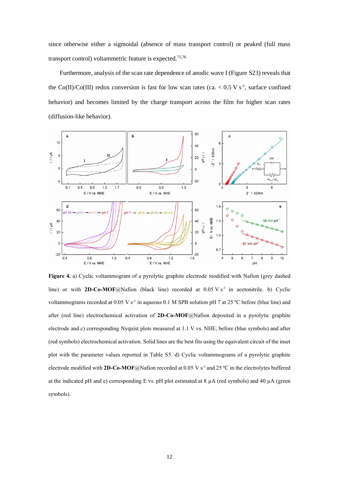since otherwise either a sigmoidal (absence of mass transport control) or peaked (full mass transport control) voltammetric feature is expected.75,76

Furthermore, analysis of the scan rate dependence of anodic wave I (Figure S23) reveals that the Co(II)/Co(III) redox conversion is fast for low scan rates (ca.  $< 0.5$  V s<sup>-1</sup>, surface confined behavior) and becomes limited by the charge transport across the film for higher scan rates (diffusion-like behavior).



**Figure 4.** a) Cyclic voltammogram of a pyrolytic graphite electrode modified with Nafion (grey dashed line) or with **2D-Co-MOF**@Nafion (black line) recorded at  $0.05 \text{ V s}^{-1}$  in acetonitrile. b) Cyclic voltammograms recorded at 0.05 V s<sup>-1</sup> in aqueous 0.1 M SPB solution pH 7 at 25 °C before (blue line) and after (red line) electrochemical activation of **2D-Co-MOF**@Nafion deposited in a pyrolytic graphite electrode and c) corresponding Nyquist plots measured at 1.1 V vs. NHE, before (blue symbols) and after (red symbols) electrochemical activation. Solid lines are the best fits using the equivalent circuit of the inset plot with the parameter values reported in Table S5. d) Cyclic voltammograms of a pyrolytic graphite electrode modified with **2D-Co-MOF**@Nafion recorded at 0.05 V s -1 and 25 ºC in the electrolytes buffered at the indicated pH and e) corresponding E vs. pH plot estimated at  $8 \mu A$  (red symbols) and  $40 \mu A$  (green symbols).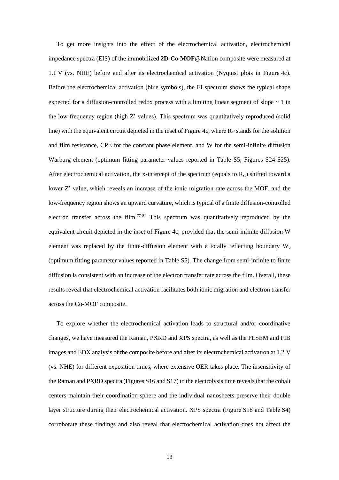To get more insights into the effect of the electrochemical activation, electrochemical impedance spectra (EIS) of the immobilized **2D-Co-MOF**@Nafion composite were measured at 1.1 V (vs. NHE) before and after its electrochemical activation (Nyquist plots in Figure 4c). Before the electrochemical activation (blue symbols), the EI spectrum shows the typical shape expected for a diffusion-controlled redox process with a limiting linear segment of slope  $\sim 1$  in the low frequency region (high Z' values). This spectrum was quantitatively reproduced (solid line) with the equivalent circuit depicted in the inset of Figure 4c, where  $R_{sf}$  stands for the solution and film resistance, CPE for the constant phase element, and W for the semi-infinite diffusion Warburg element (optimum fitting parameter values reported in Table S5, Figures S24-S25). After electrochemical activation, the x-intercept of the spectrum (equals to  $R_{sf}$ ) shifted toward a lower Z' value, which reveals an increase of the ionic migration rate across the MOF, and the low-frequency region shows an upward curvature, which is typical of a finite diffusion-controlled electron transfer across the film.<sup>77-81</sup> This spectrum was quantitatively reproduced by the equivalent circuit depicted in the inset of Figure 4c, provided that the semi-infinite diffusion W element was replaced by the finite-diffusion element with a totally reflecting boundary W<sup>o</sup> (optimum fitting parameter values reported in Table S5). The change from semi-infinite to finite diffusion is consistent with an increase of the electron transfer rate across the film. Overall, these results reveal that electrochemical activation facilitates both ionic migration and electron transfer across the Co-MOF composite.

To explore whether the electrochemical activation leads to structural and/or coordinative changes, we have measured the Raman, PXRD and XPS spectra, as well as the FESEM and FIB images and EDX analysis of the composite before and after its electrochemical activation at 1.2 V (vs. NHE) for different exposition times, where extensive OER takes place. The insensitivity of the Raman and PXRD spectra (Figures S16 and S17) to the electrolysis time reveals that the cobalt centers maintain their coordination sphere and the individual nanosheets preserve their double layer structure during their electrochemical activation. XPS spectra (Figure S18 and Table S4) corroborate these findings and also reveal that electrochemical activation does not affect the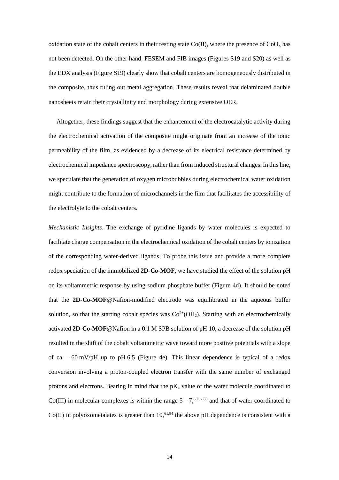oxidation state of the cobalt centers in their resting state Co(II), where the presence of  $CoO_x$  has not been detected. On the other hand, FESEM and FIB images (Figures S19 and S20) as well as the EDX analysis (Figure S19) clearly show that cobalt centers are homogeneously distributed in the composite, thus ruling out metal aggregation. These results reveal that delaminated double nanosheets retain their crystallinity and morphology during extensive OER.

Altogether, these findings suggest that the enhancement of the electrocatalytic activity during the electrochemical activation of the composite might originate from an increase of the ionic permeability of the film, as evidenced by a decrease of its electrical resistance determined by electrochemical impedance spectroscopy, rather than from induced structural changes. In this line, we speculate that the generation of oxygen microbubbles during electrochemical water oxidation might contribute to the formation of microchannels in the film that facilitates the accessibility of the electrolyte to the cobalt centers.

*Mechanistic Insights*. The exchange of pyridine ligands by water molecules is expected to facilitate charge compensation in the electrochemical oxidation of the cobalt centers by ionization of the corresponding water-derived ligands. To probe this issue and provide a more complete redox speciation of the immobilized **2D-Co-MOF**, we have studied the effect of the solution pH on its voltammetric response by using sodium phosphate buffer (Figure 4d). It should be noted that the **2D-Co-MOF**@Nafion-modified electrode was equilibrated in the aqueous buffer solution, so that the starting cobalt species was  $Co^{2+}(OH_2)$ . Starting with an electrochemically activated **2D-Co-MOF**@Nafion in a 0.1 M SPB solution of pH 10, a decrease of the solution pH resulted in the shift of the cobalt voltammetric wave toward more positive potentials with a slope of ca.  $-60$  mV/pH up to pH 6.5 (Figure 4e). This linear dependence is typical of a redox conversion involving a proton-coupled electron transfer with the same number of exchanged protons and electrons. Bearing in mind that the  $pK_a$  value of the water molecule coordinated to Co(III) in molecular complexes is within the range  $5-7,65,82,83$  and that of water coordinated to  $Co(II)$  in polyoxometalates is greater than  $10,61,84$  the above pH dependence is consistent with a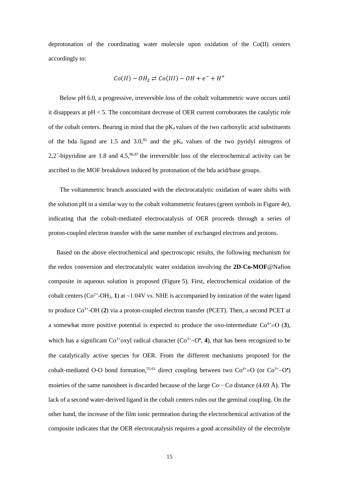deprotonation of the coordinating water molecule upon oxidation of the Co(II) centers accordingly to:

$$
Co(II) - OH_2 \rightleftarrows Co(III) - OH + e^- + H^+
$$

Below pH 6.0, a progressive, irreversible loss of the cobalt voltammetric wave occurs until it disappears at pH < 5. The concomitant decrease of OER current corroborates the catalytic role of the cobalt centers. Bearing in mind that the  $pK_a$  values of the two carboxylic acid substituents of the bda ligand are 1.5 and 3.0, $85$  and the pK<sub>a</sub> values of the two pyridyl nitrogens of 2,2´-bipyridine are 1.8 and  $4.5$ ,  $86,87$  the irreversible loss of the electrochemical activity can be ascribed to the MOF breakdown induced by protonation of the bda acid/base groups.

The voltammetric branch associated with the electrocatalytic oxidation of water shifts with the solution pH in a similar way to the cobalt voltammetric features (green symbols in Figure 4e), indicating that the cobalt-mediated electrocatalysis of OER proceeds through a series of proton-coupled electron transfer with the same number of exchanged electrons and protons.

Based on the above electrochemical and spectroscopic results, the following mechanism for the redox conversion and electrocatalytic water oxidation involving the **2D-Co-MOF**@Nafion composite in aqueous solution is proposed (Figure 5). First, electrochemical oxidation of the cobalt centers  $(Co^{2+}-OH_2, 1)$  at  $\sim$ 1.04V vs. NHE is accompanied by ionization of the water ligand to produce Co<sup>3+</sup>-OH (2) via a proton-coupled electron transfer (PCET). Then, a second PCET at a somewhat more positive potential is expected to produce the oxo-intermediate  $Co^{4+}=O(3)$ , which has a significant  $Co<sup>3+</sup>$  oxyl radical character ( $Co<sup>3+</sup>$ –O<sup>•</sup>, 4), that has been recognized to be the catalytically active species for OER. From the different mechanisms proposed for the cobalt-mediated O-O bond formation,<sup>55-61</sup> direct coupling between two  $Co^{4+}=O$  (or  $Co^{3+}-O^{\bullet}$ ) moieties of the same nanosheet is discarded because of the large  $Co \cdots Co$  distance (4.69 Å). The lack of a second water-derived ligand in the cobalt centers rules out the geminal coupling. On the other hand, the increase of the film ionic permeation during the electrochemical activation of the composite indicates that the OER electrocatalysis requires a good accessibility of the electrolyte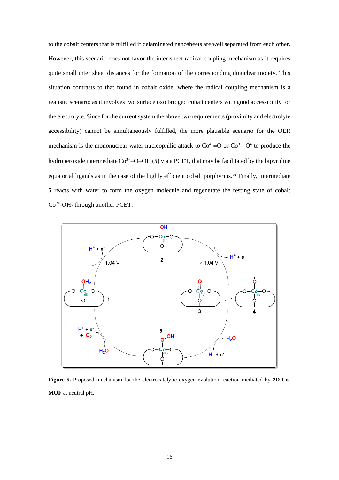to the cobalt centers that is fulfilled if delaminated nanosheets are well separated from each other. However, this scenario does not favor the inter-sheet radical coupling mechanism as it requires quite small inter sheet distances for the formation of the corresponding dinuclear moiety. This situation contrasts to that found in cobalt oxide, where the radical coupling mechanism is a realistic scenario as it involves two surface oxo bridged cobalt centers with good accessibility for the electrolyte. Since for the current system the above two requirements (proximity and electrolyte accessibility) cannot be simultaneously fulfilled, the more plausible scenario for the OER mechanism is the mononuclear water nucleophilic attack to  $Co<sup>4+</sup>=O$  or  $Co<sup>3+</sup>-O<sup>•</sup>$  to produce the hydroperoxide intermediate Co3+−O−OH (**5**) via a PCET, that may be facilitated by the bipyridine equatorial ligands as in the case of the highly efficient cobalt porphyrins.<sup>62</sup> Finally, intermediate **5** reacts with water to form the oxygen molecule and regenerate the resting state of cobalt  $Co<sup>2+</sup>-OH<sub>2</sub>$  through another PCET.



**Figure 5.** Proposed mechanism for the electrocatalytic oxygen evolution reaction mediated by **2D-Co-MOF** at neutral pH.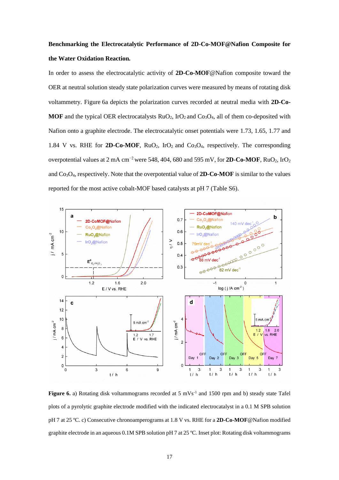# **Benchmarking the Electrocatalytic Performance of 2D-Co-MOF@Nafion Composite for the Water Oxidation Reaction.**

In order to assess the electrocatalytic activity of **2D-Co-MOF**@Nafion composite toward the OER at neutral solution steady state polarization curves were measured by means of rotating disk voltammetry. Figure 6a depicts the polarization curves recorded at neutral media with **2D-Co-MOF** and the typical OER electrocatalysts  $RuO<sub>2</sub>$ , IrO<sub>2</sub> and Co<sub>3</sub>O<sub>4</sub>, all of them co-deposited with Nafion onto a graphite electrode. The electrocatalytic onset potentials were 1.73, 1.65, 1.77 and 1.84 V vs. RHE for **2D-Co-MOF**,  $RuO<sub>2</sub>$ , IrO<sub>2</sub> and Co<sub>3</sub>O<sub>4</sub>, respectively. The corresponding overpotential values at 2 mA cm<sup>-2</sup> were 548, 404, 680 and 595 mV, for **2D-Co-MOF**, RuO<sub>2</sub>, IrO<sub>2</sub> and  $Co<sub>3</sub>O<sub>4</sub>$ , respectively. Note that the overpotential value of **2D-Co-MOF** is similar to the values reported for the most active cobalt-MOF based catalysts at pH 7 (Table S6).



**Figure 6.** a) Rotating disk voltammograms recorded at 5 mVs<sup>-1</sup> and 1500 rpm and b) steady state Tafel plots of a pyrolytic graphite electrode modified with the indicated electrocatalyst in a 0.1 M SPB solution pH 7 at 25 ºC. c) Consecutive chronoamperograms at 1.8 V vs. RHE for a **2D-Co-MOF**@Nafion modified graphite electrode in an aqueous 0.1M SPB solution pH 7 at 25 ºC. Inset plot: Rotating disk voltammograms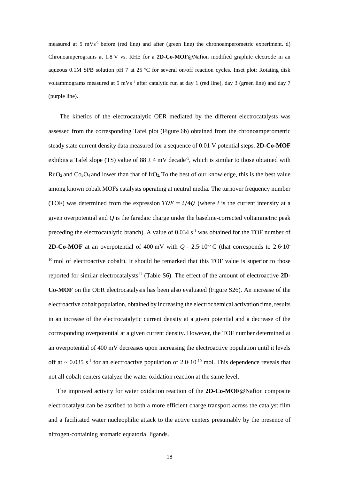measured at 5 mVs<sup>-1</sup> before (red line) and after (green line) the chronoamperometric experiment. d) Chronoamperograms at 1.8 V vs. RHE for a **2D-Co-MOF**@Nafion modified graphite electrode in an aqueous 0.1M SPB solution pH 7 at 25 ºC for several on/off reaction cycles. Inset plot: Rotating disk voltammograms measured at 5 mVs<sup>-1</sup> after catalytic run at day 1 (red line), day 3 (green line) and day 7 (purple line).

The kinetics of the electrocatalytic OER mediated by the different electrocatalysts was assessed from the corresponding Tafel plot (Figure 6b) obtained from the chronoamperometric steady state current density data measured for a sequence of 0.01 V potential steps. **2D-Co-MOF** exhibits a Tafel slope (TS) value of  $88 \pm 4$  mV decade<sup>-1</sup>, which is similar to those obtained with  $RuO<sub>2</sub>$  and  $Co<sub>3</sub>O<sub>4</sub>$  and lower than that of IrO<sub>2</sub>. To the best of our knowledge, this is the best value among known cobalt MOFs catalysts operating at neutral media. The turnover frequency number (TOF) was determined from the expression  $TOF = i/40$  (where *i* is the current intensity at a given overpotential and *Q* is the faradaic charge under the baseline-corrected voltammetric peak preceding the electrocatalytic branch). A value of  $0.034 \, \text{s}^{-1}$  was obtained for the TOF number of **2D-Co-MOF** at an overpotential of 400 mV with  $Q = 2.5 \cdot 10^{-5}$  C (that corresponds to 2.6.10- $10$  mol of electroactive cobalt). It should be remarked that this TOF value is superior to those reported for similar electrocatalysts<sup>27</sup> (Table S6). The effect of the amount of electroactive 2D-**Co-MOF** on the OER electrocatalysis has been also evaluated (Figure S26). An increase of the electroactive cobalt population, obtained by increasing the electrochemical activation time, results in an increase of the electrocatalytic current density at a given potential and a decrease of the corresponding overpotential at a given current density. However, the TOF number determined at an overpotential of 400 mV decreases upon increasing the electroactive population until it levels off at  $\sim 0.035$  s<sup>-1</sup> for an electroactive population of 2.0  $10^{-10}$  mol. This dependence reveals that not all cobalt centers catalyze the water oxidation reaction at the same level.

The improved activity for water oxidation reaction of the **2D-Co-MOF**@Nafion composite electrocatalyst can be ascribed to both a more efficient charge transport across the catalyst film and a facilitated water nucleophilic attack to the active centers presumably by the presence of nitrogen-containing aromatic equatorial ligands.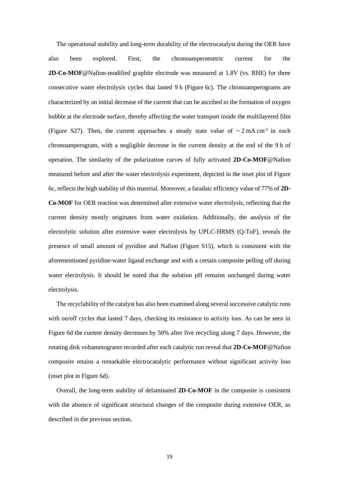The operational stability and long-term durability of the electrocatalyst during the OER have also been explored. First, the chronoamperometric current for the **2D-Co-MOF**@Nafion-modified graphite electrode was measured at 1.8V (vs. RHE) for three consecutive water electrolysis cycles that lasted 9 h (Figure 6c). The chronoamperograms are characterized by an initial decrease of the current that can be ascribed to the formation of oxygen bubble at the electrode surface, thereby affecting the water transport inside the multilayered film (Figure S27). Then, the current approaches a steady state value of  $\sim 2 \text{ mA cm}^2$  in each chronoamperogram, with a negligible decrease in the current density at the end of the 9 h of operation. The similarity of the polarization curves of fully activated **2D-Co-MOF**@Nafion measured before and after the water electrolysis experiment, depicted in the inset plot of Figure 6c, reflects the high stability of this material. Moreover, a faradaic efficiency value of 77% of **2D-Co-MOF** for OER reaction was determined after extensive water electrolysis, reflecting that the current density mostly originates from water oxidation. Additionally, the analysis of the electrolytic solution after extensive water electrolysis by UPLC-HRMS (Q-ToF), reveals the presence of small amount of pyridine and Nafion (Figure S15), which is consistent with the aforementioned pyridine-water ligand exchange and with a certain composite pelling off during water electrolysis. It should be noted that the solution pH remains unchanged during water electrolysis.

The recyclability of the catalyst has also been examined along several successive catalytic runs with on/off cycles that lasted 7 days, checking its resistance to activity loss. As can be seen in Figure 6d the current density decreases by 50% after five recycling along 7 days. However, the rotating disk voltammograms recorded after each catalytic run reveal that **2D-Co-MOF**@Nafion composite retains a remarkable electrocatalytic performance without significant activity loss (inset plot in Figure 6d).

Overall, the long-term stability of delaminated **2D-Co-MOF** in the composite is consistent with the absence of significant structural changes of the composite during extensive OER, as described in the previous section.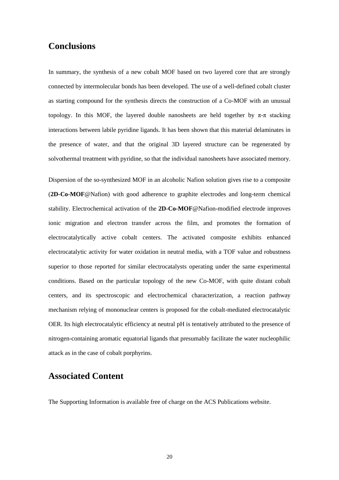#### **Conclusions**

In summary, the synthesis of a new cobalt MOF based on two layered core that are strongly connected by intermolecular bonds has been developed. The use of a well-defined cobalt cluster as starting compound for the synthesis directs the construction of a Co-MOF with an unusual topology. In this MOF, the layered double nanosheets are held together by  $\pi$ - $\pi$  stacking interactions between labile pyridine ligands. It has been shown that this material delaminates in the presence of water, and that the original 3D layered structure can be regenerated by solvothermal treatment with pyridine, so that the individual nanosheets have associated memory.

Dispersion of the so-synthesized MOF in an alcoholic Nafion solution gives rise to a composite (**2D-Co-MOF**@Nafion) with good adherence to graphite electrodes and long-term chemical stability. Electrochemical activation of the **2D-Co-MOF**@Nafion-modified electrode improves ionic migration and electron transfer across the film, and promotes the formation of electrocatalytically active cobalt centers. The activated composite exhibits enhanced electrocatalytic activity for water oxidation in neutral media, with a TOF value and robustness superior to those reported for similar electrocatalysts operating under the same experimental conditions. Based on the particular topology of the new Co-MOF, with quite distant cobalt centers, and its spectroscopic and electrochemical characterization, a reaction pathway mechanism relying of mononuclear centers is proposed for the cobalt-mediated electrocatalytic OER. Its high electrocatalytic efficiency at neutral pH is tentatively attributed to the presence of nitrogen-containing aromatic equatorial ligands that presumably facilitate the water nucleophilic attack as in the case of cobalt porphyrins.

#### **Associated Content**

The Supporting Information is available free of charge on the ACS Publications website.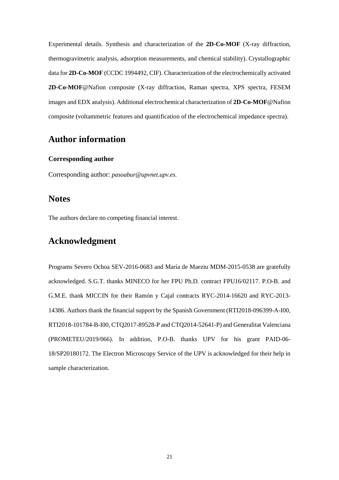Experimental details. Synthesis and characterization of the **2D-Co-MOF** (X-ray diffraction, thermogravimetric analysis, adsorption measurements, and chemical stability). Crystallographic data for **2D-Co-MOF** (CCDC 1994492, CIF). Characterization of the electrochemically activated **2D-Co-MOF**@Nafion composite (X-ray diffraction, Raman spectra, XPS spectra, FESEM images and EDX analysis). Additional electrochemical characterization of **2D-Co-MOF**@Nafion composite (voltammetric features and quantification of the electrochemical impedance spectra).

#### **Author information**

#### **Corresponding author**

Corresponding author: *pasoabur@upvnet.upv.es.*

#### **Notes**

The authors declare no competing financial interest.

## **Acknowledgment**

Programs Severo Ochoa SEV-2016-0683 and María de Maeztu MDM-2015-0538 are gratefully acknowledged. S.G.T. thanks MINECO for her FPU Ph.D. contract FPU16/02117. P.O-B. and G.M.E. thank MICCIN for their Ramón y Cajal contracts RYC-2014-16620 and RYC-2013- 14386. Authors thank the financial support by the Spanish Government (RTI2018-096399-A-I00, RTI2018-101784-B-I00, CTQ2017-89528-P and CTQ2014-52641-P) and Generalitat Valenciana (PROMETEU/2019/066). In addition, P.O-B. thanks UPV for his grant PAID-06- 18/SP20180172. The Electron Microscopy Service of the UPV is acknowledged for their help in sample characterization.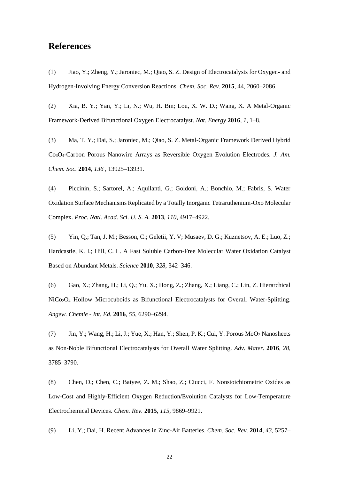## **References**

(1) Jiao, Y.; Zheng, Y.; Jaroniec, M.; Qiao, S. Z. Design of Electrocatalysts for Oxygen- and Hydrogen-Involving Energy Conversion Reactions. *Chem. Soc. Rev.* **2015**, 44, 2060–2086.

(2) Xia, B. Y.; Yan, Y.; Li, N.; Wu, H. Bin; Lou, X. W. D.; Wang, X. A Metal-Organic Framework-Derived Bifunctional Oxygen Electrocatalyst. *Nat. Energy* **2016**, *1*, 1–8.

(3) Ma, T. Y.; Dai, S.; Jaroniec, M.; Qiao, S. Z. Metal-Organic Framework Derived Hybrid Co3O4-Carbon Porous Nanowire Arrays as Reversible Oxygen Evolution Electrodes. *J. Am. Chem. Soc.* **2014**, *136* , 13925–13931.

(4) Piccinin, S.; Sartorel, A.; Aquilanti, G.; Goldoni, A.; Bonchio, M.; Fabris, S. Water Oxidation Surface Mechanisms Replicated by a Totally Inorganic Tetraruthenium-Oxo Molecular Complex. *Proc. Natl. Acad. Sci. U. S. A.* **2013**, *110*, 4917–4922.

(5) Yin, Q.; Tan, J. M.; Besson, C.; Geletii, Y. V; Musaev, D. G.; Kuznetsov, A. E.; Luo, Z.; Hardcastle, K. I.; Hill, C. L. A Fast Soluble Carbon-Free Molecular Water Oxidation Catalyst Based on Abundant Metals. *Science* **2010**, *328*, 342–346.

(6) Gao, X.; Zhang, H.; Li, Q.; Yu, X.; Hong, Z.; Zhang, X.; Liang, C.; Lin, Z. Hierarchical NiCo2O<sup>4</sup> Hollow Microcuboids as Bifunctional Electrocatalysts for Overall Water-Splitting. *Angew. Chemie - Int. Ed.* **2016**, *55*, 6290–6294.

(7) Jin, Y.; Wang, H.; Li, J.; Yue, X.; Han, Y.; Shen, P. K.; Cui, Y. Porous MoO<sup>2</sup> Nanosheets as Non-Noble Bifunctional Electrocatalysts for Overall Water Splitting. *Adv. Mater.* **2016**, *28*, 3785–3790.

(8) Chen, D.; Chen, C.; Baiyee, Z. M.; Shao, Z.; Ciucci, F. Nonstoichiometric Oxides as Low-Cost and Highly-Efficient Oxygen Reduction/Evolution Catalysts for Low-Temperature Electrochemical Devices. *Chem. Rev.* **2015**, *115*, 9869–9921.

(9) Li, Y.; Dai, H. Recent Advances in Zinc-Air Batteries. *Chem. Soc. Rev.* **2014**, *43*, 5257–

22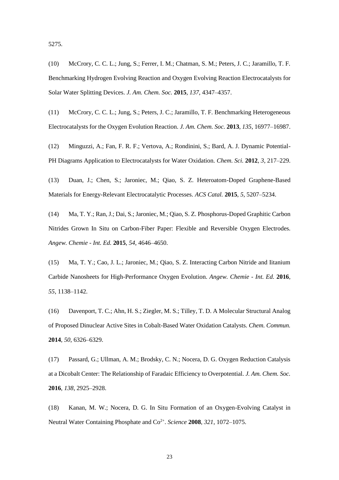5275.

(10) McCrory, C. C. L.; Jung, S.; Ferrer, I. M.; Chatman, S. M.; Peters, J. C.; Jaramillo, T. F. Benchmarking Hydrogen Evolving Reaction and Oxygen Evolving Reaction Electrocatalysts for Solar Water Splitting Devices. *J. Am. Chem. Soc.* **2015**, *137*, 4347–4357.

(11) McCrory, C. C. L.; Jung, S.; Peters, J. C.; Jaramillo, T. F. Benchmarking Heterogeneous Electrocatalysts for the Oxygen Evolution Reaction. *J. Am. Chem. Soc.* **2013**, *135*, 16977–16987.

(12) Minguzzi, A.; Fan, F. R. F.; Vertova, A.; Rondinini, S.; Bard, A. J. Dynamic Potential-PH Diagrams Application to Electrocatalysts for Water Oxidation. *Chem. Sci.* **2012**, *3*, 217–229.

(13) Duan, J.; Chen, S.; Jaroniec, M.; Qiao, S. Z. Heteroatom-Doped Graphene-Based Materials for Energy-Relevant Electrocatalytic Processes. *ACS Catal.* **2015**, *5*, 5207–5234.

(14) Ma, T. Y.; Ran, J.; Dai, S.; Jaroniec, M.; Qiao, S. Z. Phosphorus-Doped Graphitic Carbon Nitrides Grown In Situ on Carbon-Fiber Paper: Flexible and Reversible Oxygen Electrodes. *Angew. Chemie - Int. Ed.* **2015**, *54*, 4646–4650.

(15) Ma, T. Y.; Cao, J. L.; Jaroniec, M.; Qiao, S. Z. Interacting Carbon Nitride and Iitanium Carbide Nanosheets for High-Performance Oxygen Evolution. *Angew. Chemie - Int. Ed.* **2016**, *55*, 1138–1142.

(16) Davenport, T. C.; Ahn, H. S.; Ziegler, M. S.; Tilley, T. D. A Molecular Structural Analog of Proposed Dinuclear Active Sites in Cobalt-Based Water Oxidation Catalysts. *Chem. Commun.* **2014**, *50*, 6326–6329.

(17) Passard, G.; Ullman, A. M.; Brodsky, C. N.; Nocera, D. G. Oxygen Reduction Catalysis at a Dicobalt Center: The Relationship of Faradaic Efficiency to Overpotential. *J. Am. Chem. Soc.* **2016**, *138*, 2925–2928.

(18) Kanan, M. W.; Nocera, D. G. In Situ Formation of an Oxygen-Evolving Catalyst in Neutral Water Containing Phosphate and Co<sup>2+</sup>. Science 2008, 321, 1072-1075.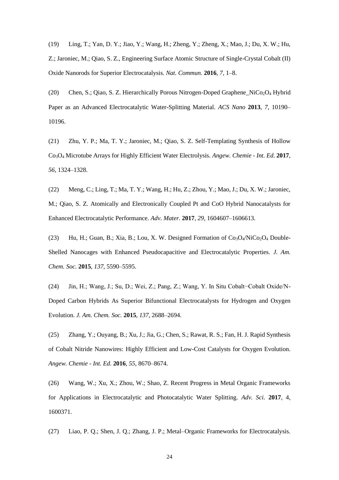(19) Ling, T.; Yan, D. Y.; Jiao, Y.; Wang, H.; Zheng, Y.; Zheng, X.; Mao, J.; Du, X. W.; Hu, Z.; Jaroniec, M.; Qiao, S. Z., Engineering Surface Atomic Structure of Single-Crystal Cobalt (II) Oxide Nanorods for Superior Electrocatalysis. *Nat. Commun.* **2016**, *7*, 1–8.

(20) Chen, S.; Qiao, S. Z. Hierarchically Porous Nitrogen-Doped Graphene  $NiCo<sub>2</sub>O<sub>4</sub>$  Hybrid Paper as an Advanced Electrocatalytic Water-Splitting Material. *ACS Nano* **2013**, *7*, 10190– 10196.

(21) Zhu, Y. P.; Ma, T. Y.; Jaroniec, M.; Qiao, S. Z. Self-Templating Synthesis of Hollow Co3O<sup>4</sup> Microtube Arrays for Highly Efficient Water Electrolysis. *Angew. Chemie - Int. Ed.* **2017**, *56*, 1324–1328.

(22) Meng, C.; Ling, T.; Ma, T. Y.; Wang, H.; Hu, Z.; Zhou, Y.; Mao, J.; Du, X. W.; Jaroniec, M.; Qiao, S. Z. Atomically and Electronically Coupled Pt and CoO Hybrid Nanocatalysts for Enhanced Electrocatalytic Performance. *Adv. Mater.* **2017**, *29*, 1604607–1606613.

(23) Hu, H.; Guan, B.; Xia, B.; Lou, X. W. Designed Formation of  $Co<sub>3</sub>O<sub>4</sub>/NiCo<sub>2</sub>O<sub>4</sub>$  Double-Shelled Nanocages with Enhanced Pseudocapacitive and Electrocatalytic Properties. *J. Am. Chem. Soc.* **2015**, *137*, 5590–5595.

(24) Jin, H.; Wang, J.; Su, D.; Wei, Z.; Pang, Z.; Wang, Y. In Situ Cobalt−Cobalt Oxide/N-Doped Carbon Hybrids As Superior Bifunctional Electrocatalysts for Hydrogen and Oxygen Evolution. *J. Am. Chem. Soc.* **2015**, *137*, 2688–2694.

(25) Zhang, Y.; Ouyang, B.; Xu, J.; Jia, G.; Chen, S.; Rawat, R. S.; Fan, H. J. Rapid Synthesis of Cobalt Nitride Nanowires: Highly Efficient and Low-Cost Catalysts for Oxygen Evolution. *Angew. Chemie - Int. Ed.* **2016**, *55*, 8670–8674.

(26) Wang, W.; Xu, X.; Zhou, W.; Shao, Z. Recent Progress in Metal Organic Frameworks for Applications in Electrocatalytic and Photocatalytic Water Splitting. *Adv. Sci.* **2017**, 4, 1600371.

(27) Liao, P. Q.; Shen, J. Q.; Zhang, J. P.; Metal–Organic Frameworks for Electrocatalysis.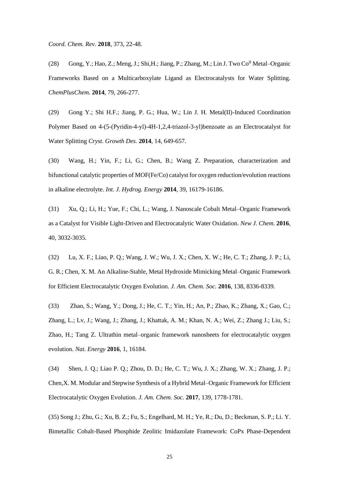*Coord. Chem. Rev*. **2018**, 373, 22-48.

(28) Gong, Y.; Hao, Z.; Meng, J.; Shi, H.; Jiang, P.; Zhang, M.; Lin J. Two  $Co<sup>H</sup>$  Metal–Organic Frameworks Based on a Multicarboxylate Ligand as Electrocatalysts for Water Splitting. *ChemPlusChem.* **2014**, 79, 266-277.

(29) Gong Y.; Shi H.F.; Jiang, P. G.; Hua, W.; Lin J. H. Metal(II)-Induced Coordination Polymer Based on 4-(5-(Pyridin-4-yl)-4H-1,2,4-triazol-3-yl)benzoate as an Electrocatalyst for Water Splitting *Cryst. Growth Des.* **2014**, 14, 649-657.

(30) Wang, H.; Yin, F.; Li, G.; Chen, B.; Wang Z. Preparation, characterization and bifunctional catalytic properties of MOF(Fe/Co) catalyst for oxygen reduction/evolution reactions in alkaline electrolyte. *Int. J. Hydrog. Energy* **2014**, 39, 16179-16186.

(31) Xu, Q.; Li, H.; Yue, F.; Chi, L.; Wang, J. Nanoscale Cobalt Metal–Organic Framework as a Catalyst for Visible Light-Driven and Electrocatalytic Water Oxidation. *New J. Chem.* **2016**, 40, 3032-3035.

(32) Lu, X. F.; Liao, P. Q.; Wang, J. W.; Wu, J. X.; Chen, X. W.; He, C. T.; Zhang, J. P.; Li, G. R.; Chen, X. M. An Alkaline-Stable, Metal Hydroxide Mimicking Metal–Organic Framework for Efficient Electrocatalytic Oxygen Evolution. *J. Am. Chem. Soc.* **2016**, 138, 8336-8339.

(33) Zhao, S.; Wang, Y.; Dong, J.; He, C. T.; Yin, H.; An, P.; Zhao, K.; Zhang, X.; Gao, C.; Zhang, L.; Lv, J.; Wang, J.; Zhang, J.; Khattak, A. M.; Khan, N. A.; Wei, Z.; Zhang J.; Liu, S.; Zhao, H.; Tang Z. Ultrathin metal–organic framework nanosheets for electrocatalytic oxygen evolution. *Nat. Energy* **2016**, 1, 16184.

(34) [Shen,](https://pubs.acs.org/author/Shen%2C+Jian-Qiang) J. Q.; [Liao](https://pubs.acs.org/author/Liao%2C+Pei-Qin) P. Q.; [Zhou,](https://pubs.acs.org/author/Zhou%2C+Dong-Dong) D. D.; [He,](https://pubs.acs.org/author/He%2C+Chun-Ting) C. T.; [Wu,](https://pubs.acs.org/author/Wu%2C+Jun-Xi) J. X.; [Zhang,](https://pubs.acs.org/author/Zhang%2C+Wei-Xiong) W. X.; [Zhang,](https://pubs.acs.org/author/Zhang%2C+Jie-Peng) J. P.; [Chen](https://pubs.acs.org/author/Chen%2C+Xiao-Ming)*,*X. M. Modular and Stepwise Synthesis of a Hybrid Metal–Organic Framework for Efficient Electrocatalytic Oxygen Evolution. *J. Am. Chem. Soc.* **2017**, 139, 1778-1781.

(35) Song J.; Zhu, G.; Xu, B. Z.; Fu, S.; Engelhard, M. H.; Ye, R.; Du, D.; Beckman, S. P.; Li. Y. Bimetallic Cobalt-Based Phosphide Zeolitic Imidazolate Framework: CoPx Phase-Dependent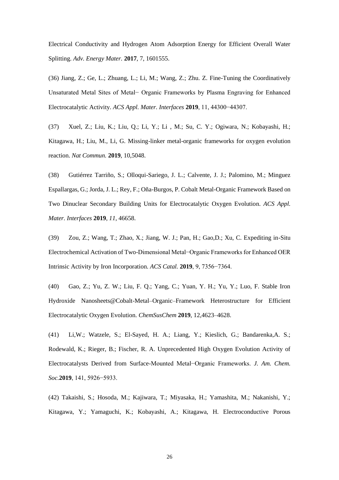Electrical Conductivity and Hydrogen Atom Adsorption Energy for Efficient Overall Water Splitting. *Adv. Energy Mater.* **2017**, 7, 1601555.

(36) Jiang, Z.; Ge, L.; Zhuang, L.; Li, M.; Wang, Z.; Zhu. Z. Fine-Tuning the Coordinatively Unsaturated Metal Sites of Metal− Organic Frameworks by Plasma Engraving for Enhanced Electrocatalytic Activity. *ACS Appl. Mater. Interfaces* **2019**, 11, 44300−44307.

(37) Xuel, Z.; Liu, K.; Liu, Q.; Li, Y.; Li , M.; Su, C. Y.; Ogiwara, N.; Kobayashi, H.; Kitagawa, H.; Liu, M., Li, G. Missing-linker metal-organic frameworks for oxygen evolution reaction. *Nat Commun.* **2019**, 10,5048.

(38) Gutiérrez Tarriño, S.; Olloqui-Sariego, J. L.; Calvente, J. J.; Palomino, M.; Minguez Espallargas, G.; Jorda, J. L.; Rey, F.; Oña-Burgos, P. Cobalt Metal-Organic Framework Based on Two Dinuclear Secondary Building Units for Electrocatalytic Oxygen Evolution. *ACS Appl. Mater. Interfaces* **2019**, *11*, 46658.

(39) Zou, Z.; Wang, T.; Zhao, X.; Jiang, W. J.; Pan, H.; Gao,D.; Xu, C. Expediting in-Situ Electrochemical Activation of Two-Dimensional Metal−Organic Frameworks for Enhanced OER Intrinsic Activity by Iron Incorporation. *ACS Catal.* **2019**, 9, 7356−7364.

(40) Gao, Z.; Yu, Z. W.; Liu, F. Q.; Yang, C.; Yuan, Y. H.; Yu, Y.; Luo, F. Stable Iron Hydroxide Nanosheets@Cobalt-Metal–Organic–Framework Heterostructure for Efficient Electrocatalytic Oxygen Evolution. *ChemSusChem* **2019**, 12,4623–4628.

(41) Li,W.; Watzele, S.; El-Sayed, H. A.; Liang, Y.; Kieslich, G.; Bandarenka,A. S.; Rodewald, K.; Rieger, B.; Fischer, R. A. Unprecedented High Oxygen Evolution Activity of Electrocatalysts Derived from Surface-Mounted Metal−Organic Frameworks. *J. Am. Chem. Soc.***2019**, 141, 5926−5933.

(42) Takaishi, S.; Hosoda, M.; Kajiwara, T.; Miyasaka, H.; Yamashita, M.; Nakanishi, Y.; Kitagawa, Y.; Yamaguchi, K.; Kobayashi, A.; Kitagawa, H. Electroconductive Porous

26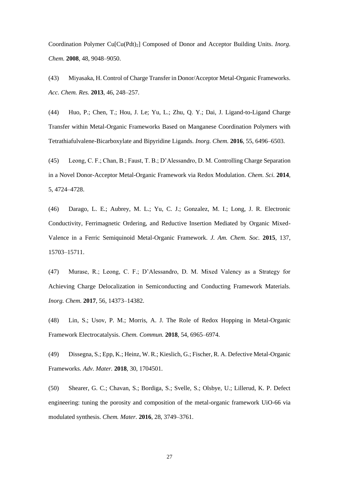Coordination Polymer Cu<sup>[Cu(Pdt)<sub>2</sub>] Composed of Donor and Acceptor Building Units. *Inorg.*</sup> *Chem.* **2008**, 48, 9048–9050.

(43) Miyasaka, H. Control of Charge Transfer in Donor/Acceptor Metal-Organic Frameworks. *Acc. Chem. Res.* **2013**, 46, 248–257.

(44) Huo, P.; Chen, T.; Hou, J. Le; Yu, L.; Zhu, Q. Y.; Dai, J. Ligand-to-Ligand Charge Transfer within Metal-Organic Frameworks Based on Manganese Coordination Polymers with Tetrathiafulvalene-Bicarboxylate and Bipyridine Ligands. *Inorg. Chem.* **2016**, 55, 6496–6503.

(45) Leong, C. F.; Chan, B.; Faust, T. B.; D'Alessandro, D. M. Controlling Charge Separation in a Novel Donor-Acceptor Metal-Organic Framework via Redox Modulation. *Chem. Sci.* **2014**, 5, 4724–4728.

(46) Darago, L. E.; Aubrey, M. L.; Yu, C. J.; Gonzalez, M. I.; Long, J. R. Electronic Conductivity, Ferrimagnetic Ordering, and Reductive Insertion Mediated by Organic Mixed-Valence in a Ferric Semiquinoid Metal-Organic Framework. *J. Am. Chem. Soc.* **2015**, 137, 15703–15711.

(47) Murase, R.; Leong, C. F.; D'Alessandro, D. M. Mixed Valency as a Strategy for Achieving Charge Delocalization in Semiconducting and Conducting Framework Materials. *Inorg. Chem.* **2017**, 56, 14373–14382.

(48) Lin, S.; Usov, P. M.; Morris, A. J. The Role of Redox Hopping in Metal-Organic Framework Electrocatalysis. *Chem. Commun.* **2018**, 54, 6965–6974.

(49) Dissegna, S.; Epp, K.; Heinz, W. R.; Kieslich, G.; Fischer, R. A. Defective Metal-Organic Frameworks. *Adv. Mater.* **2018**, 30, 1704501.

(50) Shearer, G. C.; Chavan, S.; Bordiga, S.; Svelle, S.; Olsbye, U.; Lillerud, K. P. Defect engineering: tuning the porosity and composition of the metal-organic framework UiO-66 via modulated synthesis. *Chem. Mater.* **2016**, 28, 3749–3761.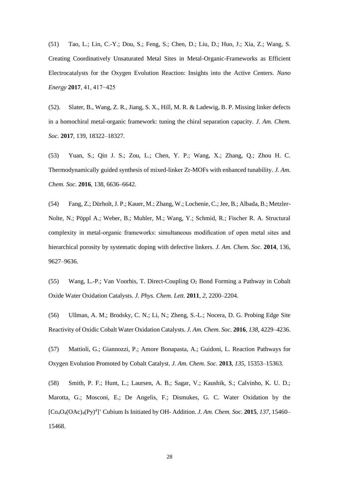(51) Tao, L.; Lin, C.-Y.; Dou, S.; Feng, S.; Chen, D.; Liu, D.; Huo, J.; Xia, Z.; Wang, S. Creating Coordinatively Unsaturated Metal Sites in Metal-Organic-Frameworks as Efficient Electrocatalysts for the Oxygen Evolution Reaction: Insights into the Active Centers. *Nano Energy* **2017**, 41, 417−425

(52). Slater, B., Wang, Z. R., Jiang, S. X., Hill, M. R. & Ladewig, B. P. Missing linker defects in a homochiral metal-organic framework: tuning the chiral separation capacity. *J. Am. Chem. Soc.* **2017**, 139, 18322–18327.

(53) Yuan, S.; Qin J. S.; Zou, L.; Chen, Y. P.; Wang, X.; Zhang, Q.; Zhou H. C. Thermodynamically guided synthesis of mixed-linker Zr-MOFs with enhanced tunability. *J. Am. Chem. Soc*. **2016**, 138, 6636–6642.

(54) Fang, Z.; Dürholt, J. P.; Kauer, M.; Zhang, W.; Lochenie, C.; Jee, B.; Albada, B.; Metzler-Nolte, N.; Pöppl A.; Weber, B.; Muhler, M.; Wang, Y.; Schmid, R.; Fischer R. A. Structural complexity in metal-organic frameworks: simultaneous modification of open metal sites and hierarchical porosity by systematic doping with defective linkers. *J. Am. Chem. Soc.* **2014**, 136, 9627–9636.

(55) Wang, L.-P.; Van Voorhis, T. Direct-Coupling O<sup>2</sup> Bond Forming a Pathway in Cobalt Oxide Water Oxidation Catalysts. *J. Phys. Chem. Lett.* **2011**, *2*, 2200–2204.

(56) Ullman, A. M.; Brodsky, C. N.; Li, N.; Zheng, S.-L.; Nocera, D. G. Probing Edge Site Reactivity of Oxidic Cobalt Water Oxidation Catalysts. *J. Am. Chem. Soc.* **2016**, *138*, 4229–4236.

(57) Mattioli, G.; Giannozzi, P.; Amore Bonapasta, A.; Guidoni, L. Reaction Pathways for Oxygen Evolution Promoted by Cobalt Catalyst. *J. Am. Chem. Soc.* **2013**, *135*, 15353–15363.

(58) Smith, P. F.; Hunt, L.; Laursen, A. B.; Sagar, V.; Kaushik, S.; Calvinho, K. U. D.; Marotta, G.; Mosconi, E.; De Angelis, F.; Dismukes, G. C. Water Oxidation by the [Co4O4(OAc)4(Py)<sup>4</sup> ] <sup>+</sup> Cubium Is Initiated by OH- Addition. *J. Am. Chem. Soc.* **2015**, *137*, 15460– 15468.

28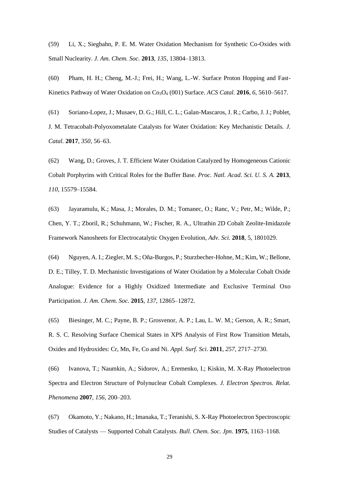(59) Li, X.; Siegbahn, P. E. M. Water Oxidation Mechanism for Synthetic Co-Oxides with Small Nuclearity. *J. Am. Chem. Soc.* **2013**, *135*, 13804–13813.

(60) Pham, H. H.; Cheng, M.-J.; Frei, H.; Wang, L.-W. Surface Proton Hopping and Fast-Kinetics Pathway of Water Oxidation on Co<sub>3</sub>O<sub>4</sub> (001) Surface. *ACS Catal.* **2016**, *6*, 5610–5617.

(61) Soriano-Lopez, J.; Musaev, D. G.; Hill, C. L.; Galan-Mascaros, J. R.; Carbo, J. J.; Poblet, J. M. Tetracobalt-Polyoxometalate Catalysts for Water Oxidation: Key Mechanistic Details. *J. Catal.* **2017**, *350*, 56–63.

(62) Wang, D.; Groves, J. T. Efficient Water Oxidation Catalyzed by Homogeneous Cationic Cobalt Porphyrins with Critical Roles for the Buffer Base. *Proc. Natl. Acad. Sci. U. S. A.* **2013**, *110*, 15579–15584.

(63) Jayaramulu, K.; Masa, J.; Morales, D. M.; Tomanec, O.; Ranc, V.; Petr, M.; Wilde, P.; Chen, Y. T.; Zboril, R.; Schuhmann, W.; Fischer, R. A., Ultrathin 2D Cobalt Zeolite-Imidazole Framework Nanosheets for Electrocatalytic Oxygen Evolution, *Adv. Sci.* **2018**, 5, 1801029.

(64) Nguyen, A. I.; Ziegler, M. S.; Oña-Burgos, P.; Sturzbecher-Hohne, M.; Kim, W.; Bellone, D. E.; Tilley, T. D. Mechanistic Investigations of Water Oxidation by a Molecular Cobalt Oxide Analogue: Evidence for a Highly Oxidized Intermediate and Exclusive Terminal Oxo Participation. *J. Am. Chem. Soc.* **2015**, *137*, 12865–12872.

(65) Biesinger, M. C.; Payne, B. P.; Grosvenor, A. P.; Lau, L. W. M.; Gerson, A. R.; Smart, R. S. C. Resolving Surface Chemical States in XPS Analysis of First Row Transition Metals, Oxides and Hydroxides: Cr, Mn, Fe, Co and Ni. *Appl. Surf. Sci.* **2011**, *257*, 2717–2730.

(66) Ivanova, T.; Naumkin, A.; Sidorov, A.; Eremenko, I.; Kiskin, M. X-Ray Photoelectron Spectra and Electron Structure of Polynuclear Cobalt Complexes. *J. Electron Spectros. Relat. Phenomena* **2007**, *156*, 200–203.

(67) Okamoto, Y.; Nakano, H.; Imanaka, T.; Teranishi, S. X-Ray Photoelectron Spectroscopic Studies of Catalysts — Supported Cobalt Catalysts. *Bull. Chem. Soc. Jpn*. **1975**, 1163–1168.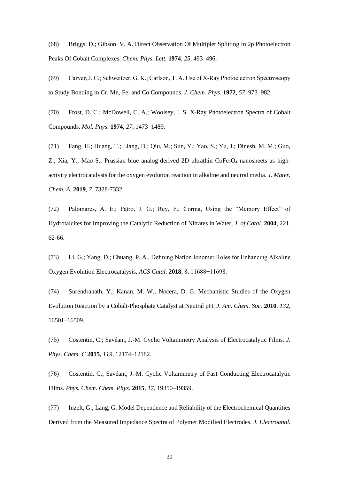(68) Briggs, D.; Gibson, V. A. Direct Observation Of Multiplet Splitting In 2p Photoelectron Peaks Of Cobalt Complexes. *Chem. Phys. Lett.* **1974**, *25*, 493–496.

(69) Carver, J. C.; Schweitzer, G. K.; Carlson, T. A. Use of X‐Ray Photoelectron Spectroscopy to Study Bonding in Cr, Mn, Fe, and Co Compounds. *J. Chem. Phys.* **1972**, *57*, 973–982.

(70) Frost, D. C.; McDowell, C. A.; Woolsey, I. S. X-Ray Photoelectron Spectra of Cobalt Compounds. *Mol. Phys.* **1974**, *27*, 1473–1489.

(71) Fang, H.; Huang, T.; Liang, D.; Qiu, M.; Sun, Y.; Yao, S.; Yu, J.; Dinesh, M. M.; Guo, Z.; Xia, Y.; Mao S., Prussian blue analog-derived 2D ultrathin CoFe<sub>2</sub>O<sub>4</sub> nanosheets as highactivity electrocatalysts for the oxygen evolution reaction in alkaline and neutral media. *J. Mater. Chem. A*, **2019**, *7*, 7328-7332.

(72) Palomares, A. E.; Patro, J. G.; Rey, F.; Corma, Using the "Memory Effect" of Hydrotalcites for Improving the Catalytic Reduction of Nitrates in Water, *J. of Catal*. **2004**, 221, 62-66.

(73) Li, G.; Yang, D.; Chuang, P. A., Defining Nafion Ionomer Roles for Enhancing Alkaline Oxygen Evolution Electrocatalysis, *ACS Catal*. **2018**, 8, 11688−11698.

(74) Surendranath, Y.; Kanan, M. W.; Nocera, D. G. Mechanistic Studies of the Oxygen Evolution Reaction by a Cobalt-Phosphate Catalyst at Neutral pH. *J. Am. Chem. Soc.* **2010**, *132*, 16501–16509.

(75) Costentin, C.; Savéant, J.-M. Cyclic Voltammetry Analysis of Electrocatalytic Films. *J. Phys. Chem. C* **2015**, *119*, 12174–12182.

(76) Costentin, C.; Savéant, J.-M. Cyclic Voltammetry of Fast Conducting Electrocatalytic Films. *Phys. Chem. Chem. Phys.* **2015**, *17*, 19350–19359.

(77) Inzelt, G.; Lang, G. Model Dependence and Reliability of the Electrochemical Quantities Derived from the Measured Impedance Spectra of Polymer Modified Electrodes. *J. Electroanal.* 

30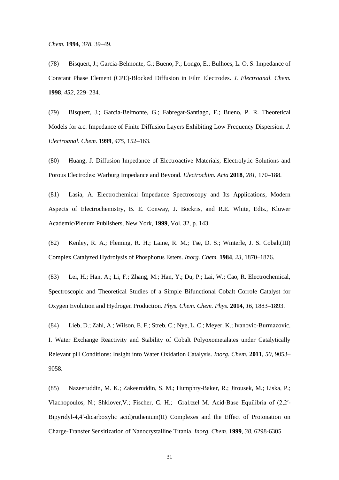*Chem.* **1994**, *378*, 39–49.

(78) Bisquert, J.; Garcia-Belmonte, G.; Bueno, P.; Longo, E.; Bulhoes, L. O. S. Impedance of Constant Phase Element (CPE)-Blocked Diffusion in Film Electrodes. *J. Electroanal. Chem.* **1998**, *452*, 229–234.

(79) Bisquert, J.; Garcia-Belmonte, G.; Fabregat-Santiago, F.; Bueno, P. R. Theoretical Models for a.c. Impedance of Finite Diffusion Layers Exhibiting Low Frequency Dispersion. *J. Electroanal. Chem.* **1999**, *475*, 152–163.

(80) Huang, J. Diffusion Impedance of Electroactive Materials, Electrolytic Solutions and Porous Electrodes: Warburg Impedance and Beyond. *Electrochim. Acta* **2018**, *281*, 170–188.

(81) Lasia, A. Electrochemical Impedance Spectroscopy and Its Applications, Modern Aspects of Electrochemistry, B. E. Conway, J. Bockris, and R.E. White, Edts., Kluwer Academic/Plenum Publishers, New York, **1999**, Vol. 32, p. 143.

(82) Kenley, R. A.; Fleming, R. H.; Laine, R. M.; Tse, D. S.; Winterle, J. S. Cobalt(III) Complex Catalyzed Hydrolysis of Phosphorus Esters. *Inorg. Chem.* **1984**, *23*, 1870–1876.

(83) Lei, H.; Han, A.; Li, F.; Zhang, M.; Han, Y.; Du, P.; Lai, W.; Cao, R. Electrochemical, Spectroscopic and Theoretical Studies of a Simple Bifunctional Cobalt Corrole Catalyst for Oxygen Evolution and Hydrogen Production. *Phys. Chem. Chem. Phys.* **2014**, *16*, 1883–1893.

(84) Lieb, D.; Zahl, A.; Wilson, E. F.; Streb, C.; Nye, L. C.; Meyer, K.; Ivanovic-Burmazovic, I. Water Exchange Reactivity and Stability of Cobalt Polyoxometalates under Catalytically Relevant pH Conditions: Insight into Water Oxidation Catalysis. *Inorg. Chem.* **2011**, *50*, 9053– 9058.

(85) Nazeeruddin, M. K.; Zakeeruddin, S. M.; Humphry-Baker, R.; Jirousek, M.; Liska, P.; Vlachopoulos, N.; Shklover,V.; Fischer, C. H.; Gra1tzel M. Acid-Base Equilibria of (2,2′- Bipyridyl-4,4′-dicarboxylic acid)ruthenium(II) Complexes and the Effect of Protonation on Charge-Transfer Sensitization of Nanocrystalline Titania. *Inorg. Chem*. **1999**, *38*, 6298-6305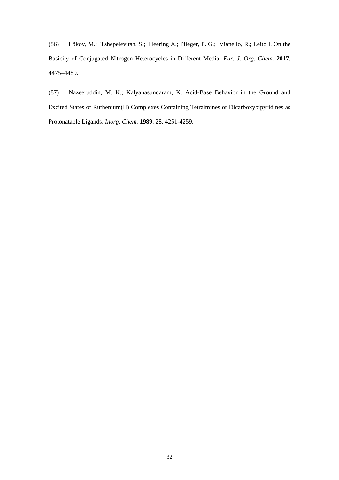(86) Lõkov, M.; Tshepelevitsh, S.; Heering A.; Plieger, P. G.; Vianello, R.; Leito I. On the Basicity of Conjugated Nitrogen Heterocycles in Different Media. *Eur. J. Org. Chem.* **2017**, 4475–4489.

(87) Nazeeruddin, M. K.; Kalyanasundaram, K. Acid-Base Behavior in the Ground and Excited States of Ruthenium(II) Complexes Containing Tetraimines or Dicarboxybipyridines as Protonatable Ligands. *Inorg. Chem.* **1989**, 28, 4251-4259.